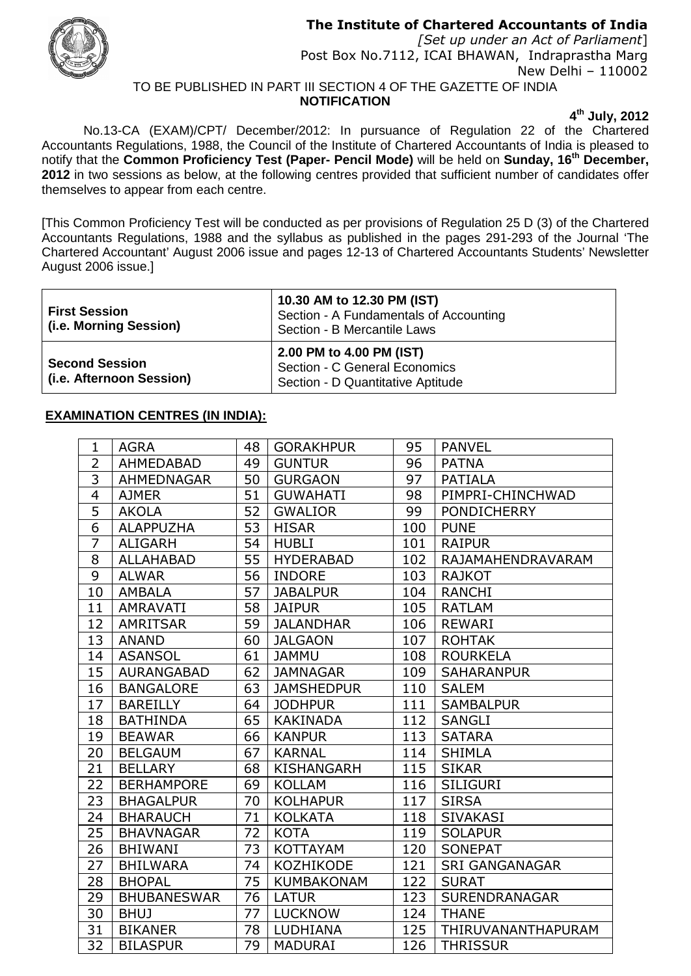## **The Institute of Chartered Accountants of India**



*[Set up under an Act of Parliament*] Post Box No.7112, ICAI BHAWAN, Indraprastha Marg New Delhi – 110002 TO BE PUBLISHED IN PART III SECTION 4 OF THE GAZETTE OF INDIA

**NOTIFICATION**

**4 th July, 2012**

No.13-CA (EXAM)/CPT/ December/2012: In pursuance of Regulation 22 of the Chartered Accountants Regulations, 1988, the Council of the Institute of Chartered Accountants of India is pleased to notify that the **Common Proficiency Test (Paper- Pencil Mode)** will be held on **Sunday, 16 th December, 2012** in two sessions as below, at the following centres provided that sufficient number of candidates offer themselves to appear from each centre.

[This Common Proficiency Test will be conducted as per provisions of Regulation 25 D (3) of the Chartered Accountants Regulations, 1988 and the syllabus as published in the pages 291-293 of the Journal 'The Chartered Accountant' August 2006 issue and pages 12-13 of Chartered Accountants Students' Newsletter August 2006 issue.]

| <b>First Session</b><br>(i.e. Morning Session)    | 10.30 AM to 12.30 PM (IST)<br>Section - A Fundamentals of Accounting<br>Section - B Mercantile Laws |
|---------------------------------------------------|-----------------------------------------------------------------------------------------------------|
| <b>Second Session</b><br>(i.e. Afternoon Session) | 2.00 PM to 4.00 PM (IST)<br>Section - C General Economics<br>Section - D Quantitative Aptitude      |

## **EXAMINATION CENTRES (IN INDIA):**

| $\mathbf{1}$   | <b>AGRA</b>        | 48 | <b>GORAKHPUR</b>  | 95  | <b>PANVEL</b>         |
|----------------|--------------------|----|-------------------|-----|-----------------------|
| $\overline{2}$ | AHMEDABAD          | 49 | <b>GUNTUR</b>     | 96  | <b>PATNA</b>          |
| 3              | AHMEDNAGAR         | 50 | <b>GURGAON</b>    | 97  | <b>PATIALA</b>        |
| 4              | <b>AJMER</b>       | 51 | <b>GUWAHATI</b>   | 98  | PIMPRI-CHINCHWAD      |
| $\overline{5}$ | <b>AKOLA</b>       | 52 | <b>GWALIOR</b>    | 99  | <b>PONDICHERRY</b>    |
| 6              | <b>ALAPPUZHA</b>   | 53 | <b>HISAR</b>      | 100 | <b>PUNE</b>           |
| $\overline{7}$ | <b>ALIGARH</b>     | 54 | <b>HUBLI</b>      | 101 | <b>RAIPUR</b>         |
| 8              | <b>ALLAHABAD</b>   | 55 | <b>HYDERABAD</b>  | 102 | RAJAMAHENDRAVARAM     |
| 9              | <b>ALWAR</b>       | 56 | <b>INDORE</b>     | 103 | <b>RAJKOT</b>         |
| 10             | <b>AMBALA</b>      | 57 | <b>JABALPUR</b>   | 104 | <b>RANCHI</b>         |
| 11             | <b>AMRAVATI</b>    | 58 | <b>JAIPUR</b>     | 105 | <b>RATLAM</b>         |
| 12             | <b>AMRITSAR</b>    | 59 | <b>JALANDHAR</b>  | 106 | <b>REWARI</b>         |
| 13             | <b>ANAND</b>       | 60 | <b>JALGAON</b>    | 107 | <b>ROHTAK</b>         |
| 14             | <b>ASANSOL</b>     | 61 | <b>JAMMU</b>      | 108 | <b>ROURKELA</b>       |
| 15             | <b>AURANGABAD</b>  | 62 | <b>JAMNAGAR</b>   | 109 | <b>SAHARANPUR</b>     |
| 16             | <b>BANGALORE</b>   | 63 | <b>JAMSHEDPUR</b> | 110 | <b>SALEM</b>          |
| 17             | <b>BAREILLY</b>    | 64 | <b>JODHPUR</b>    | 111 | <b>SAMBALPUR</b>      |
| 18             | <b>BATHINDA</b>    | 65 | <b>KAKINADA</b>   | 112 | <b>SANGLI</b>         |
| 19             | <b>BEAWAR</b>      | 66 | <b>KANPUR</b>     | 113 | <b>SATARA</b>         |
| 20             | <b>BELGAUM</b>     | 67 | <b>KARNAL</b>     | 114 | <b>SHIMLA</b>         |
| 21             | <b>BELLARY</b>     | 68 | <b>KISHANGARH</b> | 115 | <b>SIKAR</b>          |
| 22             | <b>BERHAMPORE</b>  | 69 | <b>KOLLAM</b>     | 116 | <b>SILIGURI</b>       |
| 23             | <b>BHAGALPUR</b>   | 70 | <b>KOLHAPUR</b>   | 117 | <b>SIRSA</b>          |
| 24             | <b>BHARAUCH</b>    | 71 | <b>KOLKATA</b>    | 118 | <b>SIVAKASI</b>       |
| 25             | <b>BHAVNAGAR</b>   | 72 | <b>KOTA</b>       | 119 | <b>SOLAPUR</b>        |
| 26             | <b>BHIWANI</b>     | 73 | <b>KOTTAYAM</b>   | 120 | <b>SONEPAT</b>        |
| 27             | <b>BHILWARA</b>    | 74 | <b>KOZHIKODE</b>  | 121 | <b>SRI GANGANAGAR</b> |
| 28             | <b>BHOPAL</b>      | 75 | <b>KUMBAKONAM</b> | 122 | <b>SURAT</b>          |
| 29             | <b>BHUBANESWAR</b> | 76 | <b>LATUR</b>      | 123 | <b>SURENDRANAGAR</b>  |
| 30             | <b>BHUJ</b>        | 77 | <b>LUCKNOW</b>    | 124 | <b>THANE</b>          |
| 31             | <b>BIKANER</b>     | 78 | <b>LUDHIANA</b>   | 125 | THIRUVANANTHAPURAM    |
| 32             | <b>BILASPUR</b>    | 79 | <b>MADURAI</b>    | 126 | <b>THRISSUR</b>       |